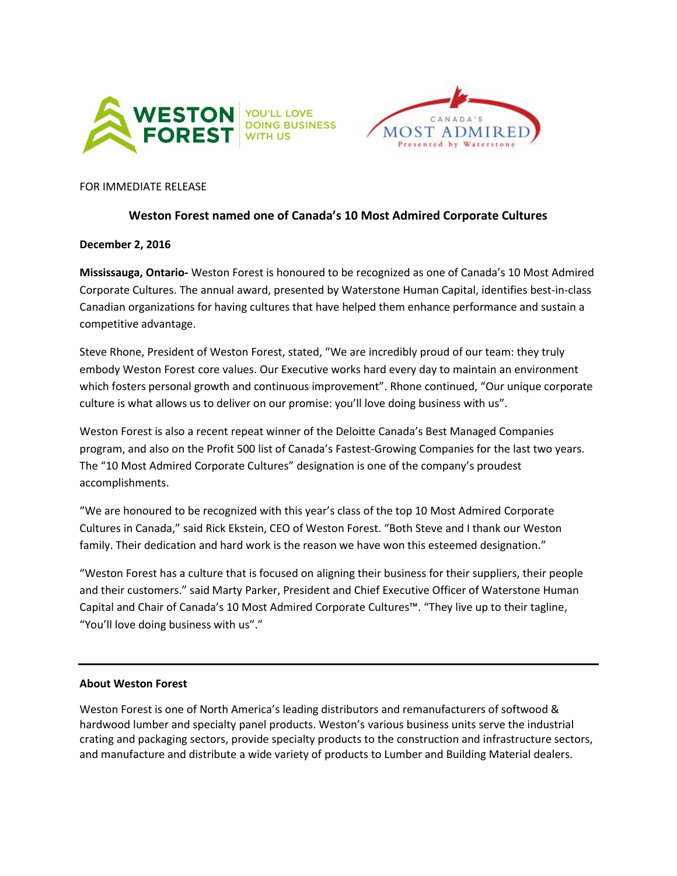



FOR IMMEDIATE RELEASE

## **Weston Forest named one of Canada's 10 Most Admired Corporate Cultures**

## **December 2, 2016**

**Mississauga, Ontario-** Weston Forest is honoured to be recognized as one of Canada's 10 Most Admired Corporate Cultures. The annual award, presented by Waterstone Human Capital, identifies best-in-class Canadian organizations for having cultures that have helped them enhance performance and sustain a competitive advantage.

Steve Rhone, President of Weston Forest, stated, "We are incredibly proud of our team: they truly embody Weston Forest core values. Our Executive works hard every day to maintain an environment which fosters personal growth and continuous improvement". Rhone continued, "Our unique corporate culture is what allows us to deliver on our promise: you'll love doing business with us".

Weston Forest is also a recent repeat winner of the Deloitte Canada's Best Managed Companies program, and also on the Profit 500 list of Canada's Fastest-Growing Companies for the last two years. The "10 Most Admired Corporate Cultures" designation is one of the company's proudest accomplishments.

"We are honoured to be recognized with this year's class of the top 10 Most Admired Corporate Cultures in Canada," said Rick Ekstein, CEO of Weston Forest. "Both Steve and I thank our Weston family. Their dedication and hard work is the reason we have won this esteemed designation."

"Weston Forest has a culture that is focused on aligning their business for their suppliers, their people and their customers." said Marty Parker, President and Chief Executive Officer of Waterstone Human Capital and Chair of Canada's 10 Most Admired Corporate Cultures™. "They live up to their tagline, "You'll love doing business with us"."

## **About Weston Forest**

Weston Forest is one of North America's leading distributors and remanufacturers of softwood & hardwood lumber and specialty panel products. Weston's various business units serve the industrial crating and packaging sectors, provide specialty products to the construction and infrastructure sectors, and manufacture and distribute a wide variety of products to Lumber and Building Material dealers.